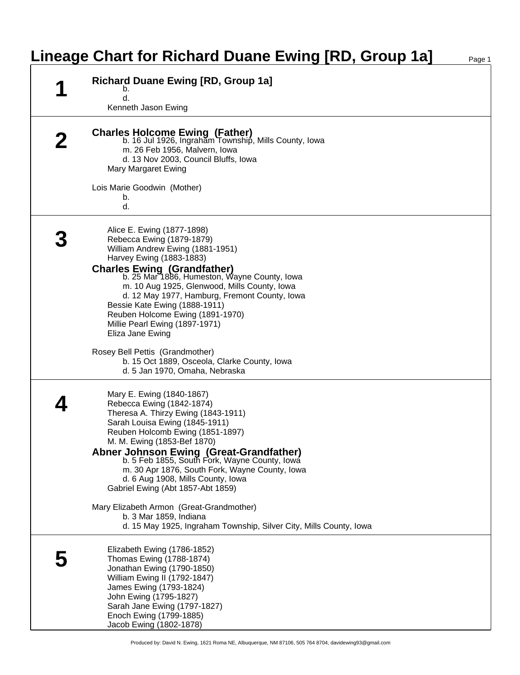## **Lineage Chart for Richard Duane Ewing [RD, Group 1a]** Page 1

| <b>Richard Duane Ewing [RD, Group 1a]</b><br>b.<br>d.<br>Kenneth Jason Ewing                                                                                                                                                                                                                                                                                                                                                                                                                                                                                           |
|------------------------------------------------------------------------------------------------------------------------------------------------------------------------------------------------------------------------------------------------------------------------------------------------------------------------------------------------------------------------------------------------------------------------------------------------------------------------------------------------------------------------------------------------------------------------|
| <b>Charles Holcome Ewing (Father)</b><br>b. 16 Jul 1926, Ingraham Township, Mills County, Iowa<br>m. 26 Feb 1956, Malvern, Iowa<br>d. 13 Nov 2003, Council Bluffs, Iowa<br>Mary Margaret Ewing<br>Lois Marie Goodwin (Mother)<br>b.<br>d.                                                                                                                                                                                                                                                                                                                              |
| Alice E. Ewing (1877-1898)<br>Rebecca Ewing (1879-1879)<br>William Andrew Ewing (1881-1951)<br>Harvey Ewing (1883-1883)<br><b>Charles Ewing (Grandfather)</b><br>b. 25 Mar 1886, Humeston, Wayne County, Iowa<br>m. 10 Aug 1925, Glenwood, Mills County, Iowa<br>d. 12 May 1977, Hamburg, Fremont County, Iowa<br>Bessie Kate Ewing (1888-1911)<br>Reuben Holcome Ewing (1891-1970)<br>Millie Pearl Ewing (1897-1971)<br>Eliza Jane Ewing<br>Rosey Bell Pettis (Grandmother)<br>b. 15 Oct 1889, Osceola, Clarke County, Iowa<br>d. 5 Jan 1970, Omaha, Nebraska         |
| Mary E. Ewing (1840-1867)<br>Rebecca Ewing (1842-1874)<br>Theresa A. Thirzy Ewing (1843-1911)<br>Sarah Louisa Ewing (1845-1911)<br>Reuben Holcomb Ewing (1851-1897)<br>M. M. Ewing (1853-Bef 1870)<br>Abner Johnson Ewing (Great-Grandfather)<br>b. 5 Feb 1855, South Fork, Wayne County, Iowa<br>m. 30 Apr 1876, South Fork, Wayne County, Iowa<br>d. 6 Aug 1908, Mills County, Iowa<br>Gabriel Ewing (Abt 1857-Abt 1859)<br>Mary Elizabeth Armon (Great-Grandmother)<br>b. 3 Mar 1859, Indiana<br>d. 15 May 1925, Ingraham Township, Silver City, Mills County, Iowa |
| Elizabeth Ewing (1786-1852)<br>Thomas Ewing (1788-1874)<br>Jonathan Ewing (1790-1850)<br>William Ewing II (1792-1847)<br>James Ewing (1793-1824)<br>John Ewing (1795-1827)<br>Sarah Jane Ewing (1797-1827)<br>Enoch Ewing (1799-1885)<br>Jacob Ewing (1802-1878)                                                                                                                                                                                                                                                                                                       |

Produced by: David N. Ewing, 1621 Roma NE, Albuquerque, NM 87106, 505 764 8704, davidewing93@gmail.com